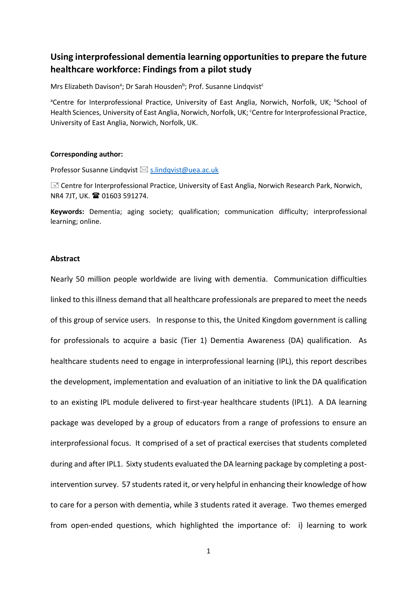# **Using interprofessional dementia learning opportunities to prepare the future healthcare workforce: Findings from a pilot study**

Mrs Elizabeth Davison<sup>a</sup>; Dr Sarah Housden<sup>b</sup>; Prof. Susanne Lindqvist<sup>c</sup>

<sup>a</sup>Centre for Interprofessional Practice, University of East Anglia, Norwich, Norfolk, UK; <sup>b</sup>School of Health Sciences, University of East Anglia, Norwich, Norfolk, UK; Centre for Interprofessional Practice, University of East Anglia, Norwich, Norfolk, UK.

#### **Corresponding author:**

Professor Susanne Lindqvist  $\boxtimes$  s.lindqvist@uea.ac.uk

I Centre for Interprofessional Practice, University of East Anglia, Norwich Research Park, Norwich, NR4 7JT, UK. <sup>2</sup>01603 591274.

**Keywords:** Dementia; aging society; qualification; communication difficulty; interprofessional learning; online.

#### **Abstract**

Nearly 50 million people worldwide are living with dementia. Communication difficulties linked to this illness demand that all healthcare professionals are prepared to meet the needs of this group of service users. In response to this, the United Kingdom government is calling for professionals to acquire a basic (Tier 1) Dementia Awareness (DA) qualification. As healthcare students need to engage in interprofessional learning (IPL), this report describes the development, implementation and evaluation of an initiative to link the DA qualification to an existing IPL module delivered to first-year healthcare students (IPL1). A DA learning package was developed by a group of educators from a range of professions to ensure an interprofessional focus. It comprised of a set of practical exercises that students completed during and after IPL1. Sixty students evaluated the DA learning package by completing a postintervention survey. 57 students rated it, or very helpful in enhancing their knowledge of how to care for a person with dementia, while 3 students rated it average. Two themes emerged from open-ended questions, which highlighted the importance of: i) learning to work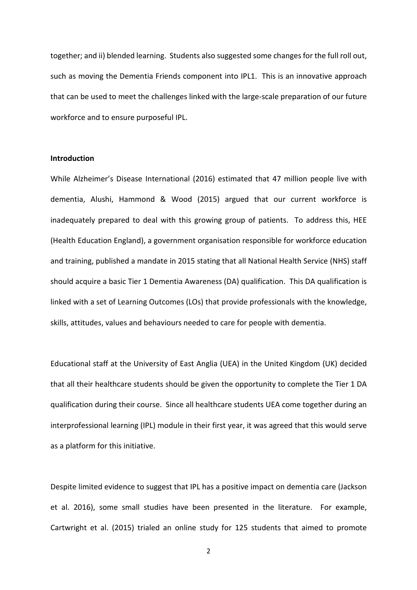together; and ii) blended learning. Students also suggested some changes for the full roll out, such as moving the Dementia Friends component into IPL1. This is an innovative approach that can be used to meet the challenges linked with the large-scale preparation of our future workforce and to ensure purposeful IPL.

## **Introduction**

While Alzheimer's Disease International (2016) estimated that 47 million people live with dementia, Alushi, Hammond & Wood (2015) argued that our current workforce is inadequately prepared to deal with this growing group of patients. To address this, HEE (Health Education England), a government organisation responsible for workforce education and training, published a mandate in 2015 stating that all National Health Service (NHS) staff should acquire a basic Tier 1 Dementia Awareness (DA) qualification. This DA qualification is linked with a set of Learning Outcomes (LOs) that provide professionals with the knowledge, skills, attitudes, values and behaviours needed to care for people with dementia.

Educational staff at the University of East Anglia (UEA) in the United Kingdom (UK) decided that all their healthcare students should be given the opportunity to complete the Tier 1 DA qualification during their course. Since all healthcare students UEA come together during an interprofessional learning (IPL) module in their first year, it was agreed that this would serve as a platform for this initiative.

Despite limited evidence to suggest that IPL has a positive impact on dementia care (Jackson et al. 2016), some small studies have been presented in the literature. For example, Cartwright et al. (2015) trialed an online study for 125 students that aimed to promote

2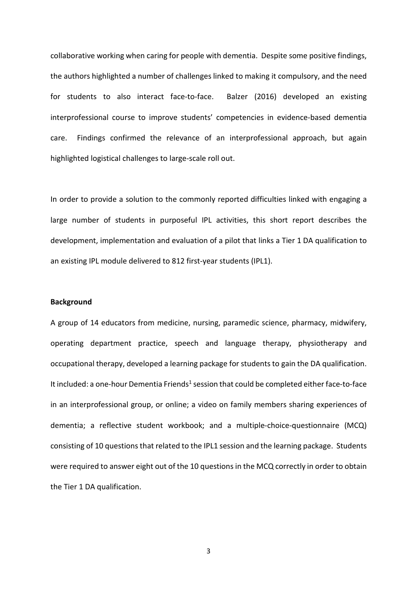collaborative working when caring for people with dementia. Despite some positive findings, the authors highlighted a number of challenges linked to making it compulsory, and the need for students to also interact face-to-face. Balzer (2016) developed an existing interprofessional course to improve students' competencies in evidence-based dementia care. Findings confirmed the relevance of an interprofessional approach, but again highlighted logistical challenges to large-scale roll out.

In order to provide a solution to the commonly reported difficulties linked with engaging a large number of students in purposeful IPL activities, this short report describes the development, implementation and evaluation of a pilot that links a Tier 1 DA qualification to an existing IPL module delivered to 812 first-year students (IPL1).

### **Background**

A group of 14 educators from medicine, nursing, paramedic science, pharmacy, midwifery, operating department practice, speech and language therapy, physiotherapy and occupational therapy, developed a learning package for students to gain the DA qualification. It included: a one-hour Dementia Friends<sup>1</sup> session that could be completed either face-to-face in an interprofessional group, or online; a video on family members sharing experiences of dementia; a reflective student workbook; and a multiple-choice-questionnaire (MCQ) consisting of 10 questions that related to the IPL1 session and the learning package. Students were required to answer eight out of the 10 questions in the MCQ correctly in order to obtain the Tier 1 DA qualification.

3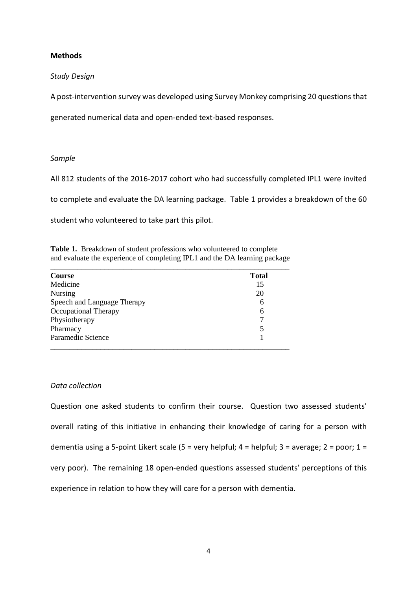## **Methods**

## *Study Design*

A post-intervention survey was developed using Survey Monkey comprising 20 questions that

generated numerical data and open-ended text-based responses.

### *Sample*

All 812 students of the 2016-2017 cohort who had successfully completed IPL1 were invited

to complete and evaluate the DA learning package. Table 1 provides a breakdown of the 60

student who volunteered to take part this pilot.

**Table 1.** Breakdown of student professions who volunteered to complete and evaluate the experience of completing IPL1 and the DA learning package

| <b>Course</b>               | <b>Total</b> |
|-----------------------------|--------------|
| Medicine                    | 15           |
| Nursing                     | 20           |
| Speech and Language Therapy | 6            |
| <b>Occupational Therapy</b> | 6            |
| Physiotherapy               |              |
| Pharmacy                    | 5            |
| Paramedic Science           |              |

### *Data collection*

Question one asked students to confirm their course. Question two assessed students' overall rating of this initiative in enhancing their knowledge of caring for a person with dementia using a 5-point Likert scale (5 = very helpful; 4 = helpful; 3 = average; 2 = poor; 1 = very poor). The remaining 18 open-ended questions assessed students' perceptions of this experience in relation to how they will care for a person with dementia.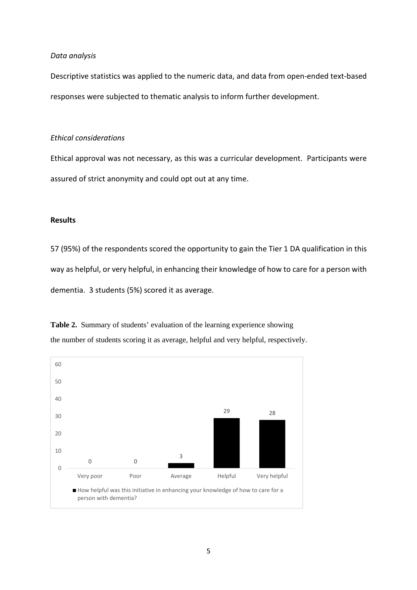#### *Data analysis*

Descriptive statistics was applied to the numeric data, and data from open-ended text-based responses were subjected to thematic analysis to inform further development.

## *Ethical considerations*

Ethical approval was not necessary, as this was a curricular development. Participants were assured of strict anonymity and could opt out at any time.

#### **Results**

57 (95%) of the respondents scored the opportunity to gain the Tier 1 DA qualification in this way as helpful, or very helpful, in enhancing their knowledge of how to care for a person with dementia. 3 students (5%) scored it as average.

**Table 2.** Summary of students' evaluation of the learning experience showing the number of students scoring it as average, helpful and very helpful, respectively.

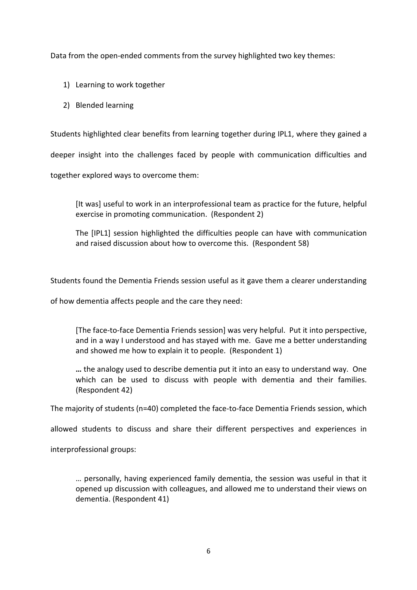Data from the open-ended comments from the survey highlighted two key themes:

- 1) Learning to work together
- 2) Blended learning

Students highlighted clear benefits from learning together during IPL1, where they gained a

deeper insight into the challenges faced by people with communication difficulties and

together explored ways to overcome them:

[It was] useful to work in an interprofessional team as practice for the future, helpful exercise in promoting communication. (Respondent 2)

The [IPL1] session highlighted the difficulties people can have with communication and raised discussion about how to overcome this. (Respondent 58)

Students found the Dementia Friends session useful as it gave them a clearer understanding

of how dementia affects people and the care they need:

[The face-to-face Dementia Friends session] was very helpful. Put it into perspective, and in a way I understood and has stayed with me. Gave me a better understanding and showed me how to explain it to people. (Respondent 1)

**…** the analogy used to describe dementia put it into an easy to understand way. One which can be used to discuss with people with dementia and their families. (Respondent 42)

The majority of students (n=40) completed the face-to-face Dementia Friends session, which

allowed students to discuss and share their different perspectives and experiences in

interprofessional groups:

… personally, having experienced family dementia, the session was useful in that it opened up discussion with colleagues, and allowed me to understand their views on dementia. (Respondent 41)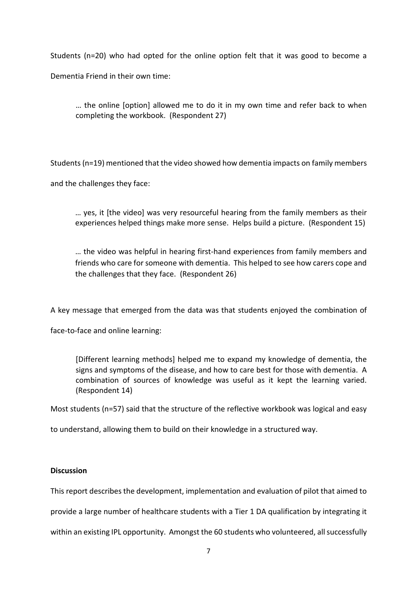Students (n=20) who had opted for the online option felt that it was good to become a Dementia Friend in their own time:

… the online [option] allowed me to do it in my own time and refer back to when completing the workbook. (Respondent 27)

Students (n=19) mentioned that the video showed how dementia impacts on family members

and the challenges they face:

… yes, it [the video] was very resourceful hearing from the family members as their experiences helped things make more sense. Helps build a picture. (Respondent 15)

… the video was helpful in hearing first-hand experiences from family members and friends who care for someone with dementia. This helped to see how carers cope and the challenges that they face. (Respondent 26)

A key message that emerged from the data was that students enjoyed the combination of

face-to-face and online learning:

[Different learning methods] helped me to expand my knowledge of dementia, the signs and symptoms of the disease, and how to care best for those with dementia. A combination of sources of knowledge was useful as it kept the learning varied. (Respondent 14)

Most students (n=57) said that the structure of the reflective workbook was logical and easy

to understand, allowing them to build on their knowledge in a structured way.

## **Discussion**

This report describes the development, implementation and evaluation of pilot that aimed to

provide a large number of healthcare students with a Tier 1 DA qualification by integrating it

within an existing IPL opportunity. Amongst the 60 students who volunteered, all successfully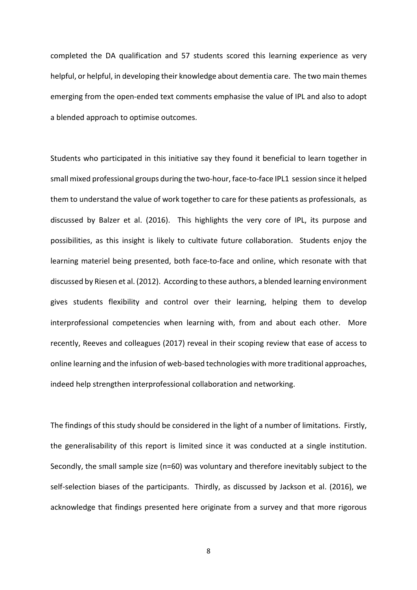completed the DA qualification and 57 students scored this learning experience as very helpful, or helpful, in developing their knowledge about dementia care. The two main themes emerging from the open-ended text comments emphasise the value of IPL and also to adopt a blended approach to optimise outcomes.

Students who participated in this initiative say they found it beneficial to learn together in small mixed professional groups during the two-hour, face-to-face IPL1 session since it helped them to understand the value of work together to care for these patients as professionals, as discussed by Balzer et al. (2016). This highlights the very core of IPL, its purpose and possibilities, as this insight is likely to cultivate future collaboration. Students enjoy the learning materiel being presented, both face-to-face and online, which resonate with that discussed by Riesen et al. (2012). According to these authors, a blended learning environment gives students flexibility and control over their learning, helping them to develop interprofessional competencies when learning with, from and about each other. More recently, Reeves and colleagues (2017) reveal in their scoping review that ease of access to online learning and the infusion of web-based technologies with more traditional approaches, indeed help strengthen interprofessional collaboration and networking.

The findings of this study should be considered in the light of a number of limitations. Firstly, the generalisability of this report is limited since it was conducted at a single institution. Secondly, the small sample size (n=60) was voluntary and therefore inevitably subject to the self-selection biases of the participants. Thirdly, as discussed by Jackson et al. (2016), we acknowledge that findings presented here originate from a survey and that more rigorous

8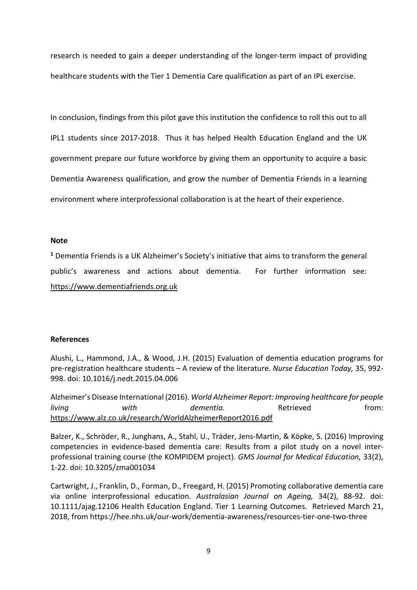research is needed to gain a deeper understanding of the longer-term impact of providing healthcare students with the Tier 1 Dementia Care qualification as part of an IPL exercise.

In conclusion, findings from this pilot gave this institution the confidence to roll this out to all IPL1 students since 2017-2018. Thus it has helped Health Education England and the UK government prepare our future workforce by giving them an opportunity to acquire a basic Dementia Awareness qualification, and grow the number of Dementia Friends in a learning environment where interprofessional collaboration is at the heart of their experience.

## **Note**

**<sup>1</sup>** Dementia Friends is a UK Alzheimer's Society's initiative that aims to transform the general public's awareness and actions about dementia. For further information see: https://www.dementiafriends.org.uk

## **References**

Alushi, L., Hammond, J.A., & Wood, J.H. (2015) Evaluation of dementia education programs for pre-registration healthcare students – A review of the literature. *Nurse Education Today,* 35, 992- 998. doi: 10.1016/j.nedt.2015.04.006

Alzheimer's Disease International (2016). *World Alzheimer Report: Improving healthcare for people living with dementia.* Retrieved from: https://www.alz.co.uk/research/WorldAlzheimerReport2016.pdf

Balzer, K., Schröder, R., Junghans, A., Stahl, U., Träder, Jens-Martin, & Köpke, S. (2016) Improving competencies in evidence-based dementia care: Results from a pilot study on a novel interprofessional training course (the KOMPIDEM project). *GMS Journal for Medical Education,* 33(2), 1-22. doi: 10.3205/zma001034

Cartwright, J., Franklin, D., Forman, D., Freegard, H. (2015) Promoting collaborative dementia care via online interprofessional education. *Australasian Journal on Ageing,* 34(2), 88-92. doi: 10.1111/ajag.12106 Health Education England. Tier 1 Learning Outcomes. Retrieved March 21, 2018, from https://hee.nhs.uk/our-work/dementia-awareness/resources-tier-one-two-three